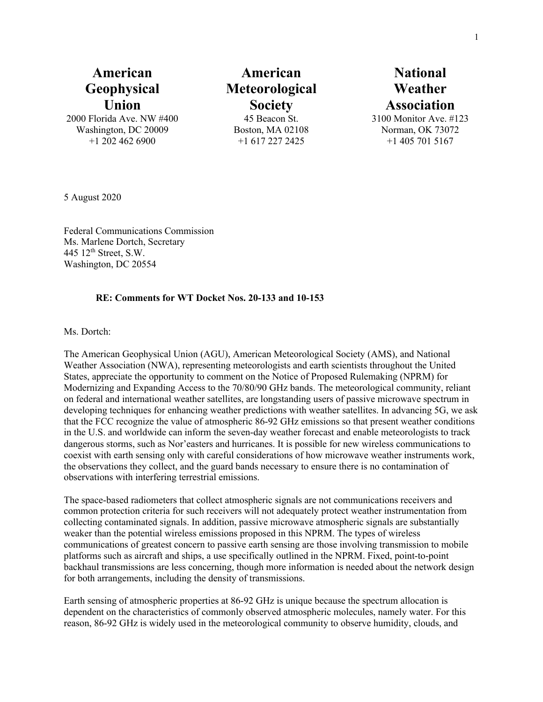## **American Geophysical Union**

2000 Florida Ave. NW #400 Washington, DC 20009 +1 202 462 6900

**American Meteorological Society** 45 Beacon St. Boston, MA 02108

+1 617 227 2425

# **National Weather Association**

3100 Monitor Ave. #123 Norman, OK 73072 +1 405 701 5167

5 August 2020

Federal Communications Commission Ms. Marlene Dortch, Secretary 445  $12<sup>th</sup>$  Street, S.W. Washington, DC 20554

#### **RE: Comments for WT Docket Nos. 20-133 and 10-153**

Ms. Dortch:

The American Geophysical Union (AGU), American Meteorological Society (AMS), and National Weather Association (NWA), representing meteorologists and earth scientists throughout the United States, appreciate the opportunity to comment on the Notice of Proposed Rulemaking (NPRM) for Modernizing and Expanding Access to the 70/80/90 GHz bands. The meteorological community, reliant on federal and international weather satellites, are longstanding users of passive microwave spectrum in developing techniques for enhancing weather predictions with weather satellites. In advancing 5G, we ask that the FCC recognize the value of atmospheric 86-92 GHz emissions so that present weather conditions in the U.S. and worldwide can inform the seven-day weather forecast and enable meteorologists to track dangerous storms, such as Nor'easters and hurricanes. It is possible for new wireless communications to coexist with earth sensing only with careful considerations of how microwave weather instruments work, the observations they collect, and the guard bands necessary to ensure there is no contamination of observations with interfering terrestrial emissions.

The space-based radiometers that collect atmospheric signals are not communications receivers and common protection criteria for such receivers will not adequately protect weather instrumentation from collecting contaminated signals. In addition, passive microwave atmospheric signals are substantially weaker than the potential wireless emissions proposed in this NPRM. The types of wireless communications of greatest concern to passive earth sensing are those involving transmission to mobile platforms such as aircraft and ships, a use specifically outlined in the NPRM. Fixed, point-to-point backhaul transmissions are less concerning, though more information is needed about the network design for both arrangements, including the density of transmissions.

Earth sensing of atmospheric properties at 86-92 GHz is unique because the spectrum allocation is dependent on the characteristics of commonly observed atmospheric molecules, namely water. For this reason, 86-92 GHz is widely used in the meteorological community to observe humidity, clouds, and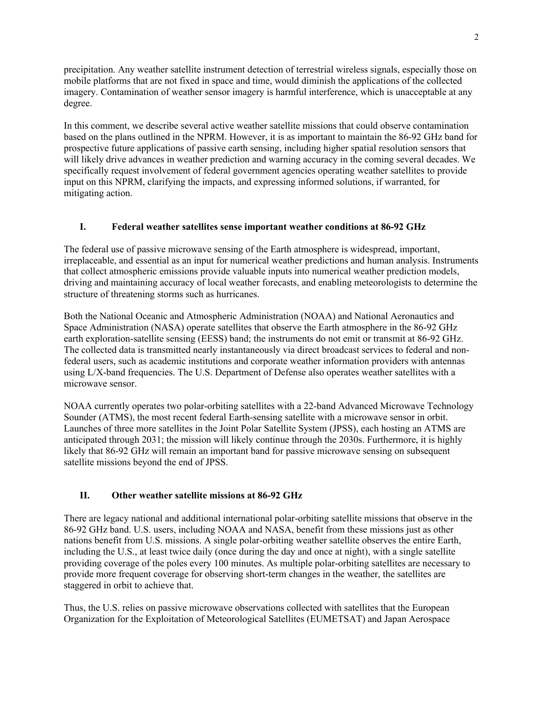precipitation. Any weather satellite instrument detection of terrestrial wireless signals, especially those on mobile platforms that are not fixed in space and time, would diminish the applications of the collected imagery. Contamination of weather sensor imagery is harmful interference, which is unacceptable at any degree.

In this comment, we describe several active weather satellite missions that could observe contamination based on the plans outlined in the NPRM. However, it is as important to maintain the 86-92 GHz band for prospective future applications of passive earth sensing, including higher spatial resolution sensors that will likely drive advances in weather prediction and warning accuracy in the coming several decades. We specifically request involvement of federal government agencies operating weather satellites to provide input on this NPRM, clarifying the impacts, and expressing informed solutions, if warranted, for mitigating action.

#### **I. Federal weather satellites sense important weather conditions at 86-92 GHz**

The federal use of passive microwave sensing of the Earth atmosphere is widespread, important, irreplaceable, and essential as an input for numerical weather predictions and human analysis. Instruments that collect atmospheric emissions provide valuable inputs into numerical weather prediction models, driving and maintaining accuracy of local weather forecasts, and enabling meteorologists to determine the structure of threatening storms such as hurricanes.

Both the National Oceanic and Atmospheric Administration (NOAA) and National Aeronautics and Space Administration (NASA) operate satellites that observe the Earth atmosphere in the 86-92 GHz earth exploration-satellite sensing (EESS) band; the instruments do not emit or transmit at 86-92 GHz. The collected data is transmitted nearly instantaneously via direct broadcast services to federal and nonfederal users, such as academic institutions and corporate weather information providers with antennas using L/X-band frequencies. The U.S. Department of Defense also operates weather satellites with a microwave sensor.

NOAA currently operates two polar-orbiting satellites with a 22-band Advanced Microwave Technology Sounder (ATMS), the most recent federal Earth-sensing satellite with a microwave sensor in orbit. Launches of three more satellites in the Joint Polar Satellite System (JPSS), each hosting an ATMS are anticipated through 2031; the mission will likely continue through the 2030s. Furthermore, it is highly likely that 86-92 GHz will remain an important band for passive microwave sensing on subsequent satellite missions beyond the end of JPSS.

#### **II. Other weather satellite missions at 86-92 GHz**

There are legacy national and additional international polar-orbiting satellite missions that observe in the 86-92 GHz band. U.S. users, including NOAA and NASA, benefit from these missions just as other nations benefit from U.S. missions. A single polar-orbiting weather satellite observes the entire Earth, including the U.S., at least twice daily (once during the day and once at night), with a single satellite providing coverage of the poles every 100 minutes. As multiple polar-orbiting satellites are necessary to provide more frequent coverage for observing short-term changes in the weather, the satellites are staggered in orbit to achieve that.

Thus, the U.S. relies on passive microwave observations collected with satellites that the European Organization for the Exploitation of Meteorological Satellites (EUMETSAT) and Japan Aerospace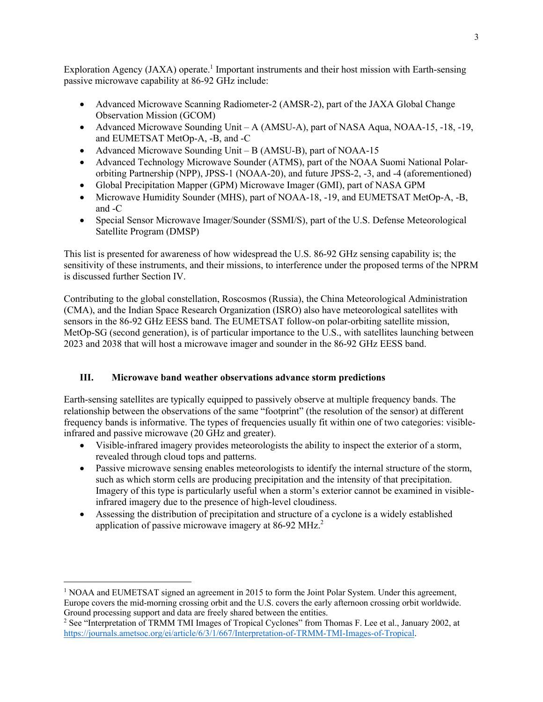Exploration Agency (JAXA) operate.<sup>1</sup> Important instruments and their host mission with Earth-sensing passive microwave capability at 86-92 GHz include:

- Advanced Microwave Scanning Radiometer-2 (AMSR-2), part of the JAXA Global Change Observation Mission (GCOM)
- Advanced Microwave Sounding Unit A (AMSU-A), part of NASA Aqua, NOAA-15, -18, -19, and EUMETSAT MetOp-A, -B, and -C
- Advanced Microwave Sounding Unit B (AMSU-B), part of NOAA-15
- Advanced Technology Microwave Sounder (ATMS), part of the NOAA Suomi National Polarorbiting Partnership (NPP), JPSS-1 (NOAA-20), and future JPSS-2, -3, and -4 (aforementioned)
- Global Precipitation Mapper (GPM) Microwave Imager (GMI), part of NASA GPM
- Microwave Humidity Sounder (MHS), part of NOAA-18, -19, and EUMETSAT MetOp-A, -B, and -C
- Special Sensor Microwave Imager/Sounder (SSMI/S), part of the U.S. Defense Meteorological Satellite Program (DMSP)

This list is presented for awareness of how widespread the U.S. 86-92 GHz sensing capability is; the sensitivity of these instruments, and their missions, to interference under the proposed terms of the NPRM is discussed further Section IV.

Contributing to the global constellation, Roscosmos (Russia), the China Meteorological Administration (CMA), and the Indian Space Research Organization (ISRO) also have meteorological satellites with sensors in the 86-92 GHz EESS band. The EUMETSAT follow-on polar-orbiting satellite mission, MetOp-SG (second generation), is of particular importance to the U.S., with satellites launching between 2023 and 2038 that will host a microwave imager and sounder in the 86-92 GHz EESS band.

## **III. Microwave band weather observations advance storm predictions**

Earth-sensing satellites are typically equipped to passively observe at multiple frequency bands. The relationship between the observations of the same "footprint" (the resolution of the sensor) at different frequency bands is informative. The types of frequencies usually fit within one of two categories: visibleinfrared and passive microwave (20 GHz and greater).

- Visible-infrared imagery provides meteorologists the ability to inspect the exterior of a storm, revealed through cloud tops and patterns.
- Passive microwave sensing enables meteorologists to identify the internal structure of the storm, such as which storm cells are producing precipitation and the intensity of that precipitation. Imagery of this type is particularly useful when a storm's exterior cannot be examined in visibleinfrared imagery due to the presence of high-level cloudiness.
- Assessing the distribution of precipitation and structure of a cyclone is a widely established application of passive microwave imagery at  $86-92 \text{ MHz}^2$ .

<sup>&</sup>lt;sup>1</sup> NOAA and EUMETSAT signed an agreement in 2015 to form the Joint Polar System. Under this agreement, Europe covers the mid-morning crossing orbit and the U.S. covers the early afternoon crossing orbit worldwide. Ground processing support and data are freely shared between the entities.

<sup>&</sup>lt;sup>2</sup> See "Interpretation of TRMM TMI Images of Tropical Cyclones" from Thomas F. Lee et al., January 2002, at https://journals.ametsoc.org/ei/article/6/3/1/667/Interpretation-of-TRMM-TMI-Images-of-Tropical.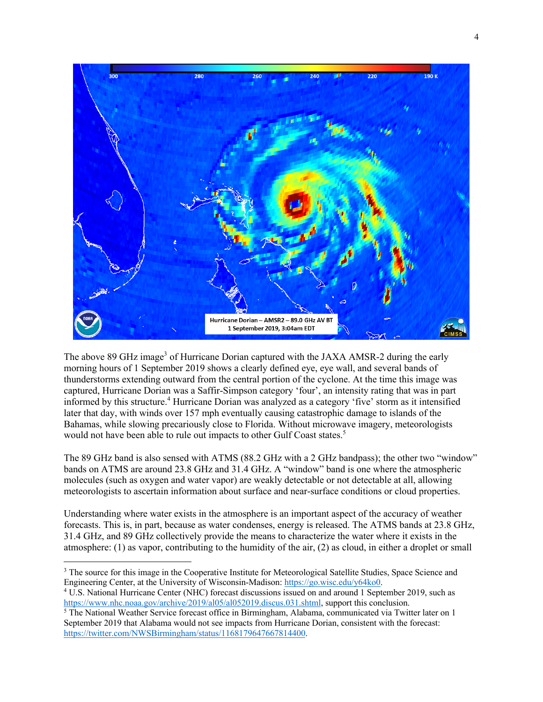

The above 89 GHz image<sup>3</sup> of Hurricane Dorian captured with the JAXA AMSR-2 during the early morning hours of 1 September 2019 shows a clearly defined eye, eye wall, and several bands of thunderstorms extending outward from the central portion of the cyclone. At the time this image was captured, Hurricane Dorian was a Saffir-Simpson category 'four', an intensity rating that was in part informed by this structure. <sup>4</sup> Hurricane Dorian was analyzed as a category 'five' storm as it intensified later that day, with winds over 157 mph eventually causing catastrophic damage to islands of the Bahamas, while slowing precariously close to Florida. Without microwave imagery, meteorologists would not have been able to rule out impacts to other Gulf Coast states. 5

The 89 GHz band is also sensed with ATMS (88.2 GHz with a 2 GHz bandpass); the other two "window" bands on ATMS are around 23.8 GHz and 31.4 GHz. A "window" band is one where the atmospheric molecules (such as oxygen and water vapor) are weakly detectable or not detectable at all, allowing meteorologists to ascertain information about surface and near-surface conditions or cloud properties.

Understanding where water exists in the atmosphere is an important aspect of the accuracy of weather forecasts. This is, in part, because as water condenses, energy is released. The ATMS bands at 23.8 GHz, 31.4 GHz, and 89 GHz collectively provide the means to characterize the water where it exists in the atmosphere: (1) as vapor, contributing to the humidity of the air, (2) as cloud, in either a droplet or small

<sup>&</sup>lt;sup>3</sup> The source for this image in the Cooperative Institute for Meteorological Satellite Studies, Space Science and Engineering Center, at the University of Wisconsin-Madison: https://go.wisc.edu/y64ko0.

<sup>4</sup> U.S. National Hurricane Center (NHC) forecast discussions issued on and around 1 September 2019, such as https://www.nhc.noaa.gov/archive/2019/al05/al052019.discus.031.shtml, support this conclusion.

<sup>5</sup> The National Weather Service forecast office in Birmingham, Alabama, communicated via Twitter later on 1 September 2019 that Alabama would not see impacts from Hurricane Dorian, consistent with the forecast: https://twitter.com/NWSBirmingham/status/1168179647667814400.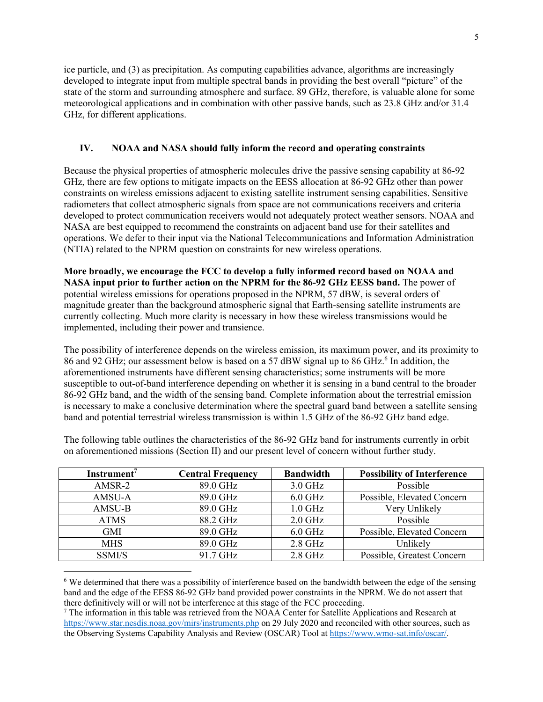ice particle, and (3) as precipitation. As computing capabilities advance, algorithms are increasingly developed to integrate input from multiple spectral bands in providing the best overall "picture" of the state of the storm and surrounding atmosphere and surface. 89 GHz, therefore, is valuable alone for some meteorological applications and in combination with other passive bands, such as 23.8 GHz and/or 31.4 GHz, for different applications.

#### **IV. NOAA and NASA should fully inform the record and operating constraints**

Because the physical properties of atmospheric molecules drive the passive sensing capability at 86-92 GHz, there are few options to mitigate impacts on the EESS allocation at 86-92 GHz other than power constraints on wireless emissions adjacent to existing satellite instrument sensing capabilities. Sensitive radiometers that collect atmospheric signals from space are not communications receivers and criteria developed to protect communication receivers would not adequately protect weather sensors. NOAA and NASA are best equipped to recommend the constraints on adjacent band use for their satellites and operations. We defer to their input via the National Telecommunications and Information Administration (NTIA) related to the NPRM question on constraints for new wireless operations.

**More broadly, we encourage the FCC to develop a fully informed record based on NOAA and NASA input prior to further action on the NPRM for the 86-92 GHz EESS band.** The power of potential wireless emissions for operations proposed in the NPRM, 57 dBW, is several orders of magnitude greater than the background atmospheric signal that Earth-sensing satellite instruments are currently collecting. Much more clarity is necessary in how these wireless transmissions would be implemented, including their power and transience.

The possibility of interference depends on the wireless emission, its maximum power, and its proximity to 86 and 92 GHz; our assessment below is based on a 57 dBW signal up to 86 GHz. <sup>6</sup> In addition, the aforementioned instruments have different sensing characteristics; some instruments will be more susceptible to out-of-band interference depending on whether it is sensing in a band central to the broader 86-92 GHz band, and the width of the sensing band. Complete information about the terrestrial emission is necessary to make a conclusive determination where the spectral guard band between a satellite sensing band and potential terrestrial wireless transmission is within 1.5 GHz of the 86-92 GHz band edge.

| Instrument <sup>7</sup> | <b>Central Frequency</b> | <b>Bandwidth</b> | <b>Possibility of Interference</b> |
|-------------------------|--------------------------|------------------|------------------------------------|
| AMSR-2                  | 89.0 GHz                 | $3.0$ GHz        | Possible                           |
| AMSU-A                  | 89.0 GHz                 | $6.0$ GHz        | Possible, Elevated Concern         |
| AMSU-B                  | 89.0 GHz                 | $1.0$ GHz        | Very Unlikely                      |
| <b>ATMS</b>             | 88.2 GHz                 | $2.0$ GHz        | Possible                           |
| GMI                     | 89.0 GHz                 | $6.0$ GHz        | Possible, Elevated Concern         |
| <b>MHS</b>              | 89.0 GHz                 | $2.8$ GHz        | Unlikely                           |
| SSMI/S                  | 91.7 GHz                 | $2.8$ GHz        | Possible, Greatest Concern         |

The following table outlines the characteristics of the 86-92 GHz band for instruments currently in orbit on aforementioned missions (Section II) and our present level of concern without further study.

<sup>6</sup> We determined that there was a possibility of interference based on the bandwidth between the edge of the sensing band and the edge of the EESS 86-92 GHz band provided power constraints in the NPRM. We do not assert that there definitively will or will not be interference at this stage of the FCC proceeding.

 $7$  The information in this table was retrieved from the NOAA Center for Satellite Applications and Research at https://www.star.nesdis.noaa.gov/mirs/instruments.php on 29 July 2020 and reconciled with other sources, such as the Observing Systems Capability Analysis and Review (OSCAR) Tool at https://www.wmo-sat.info/oscar/.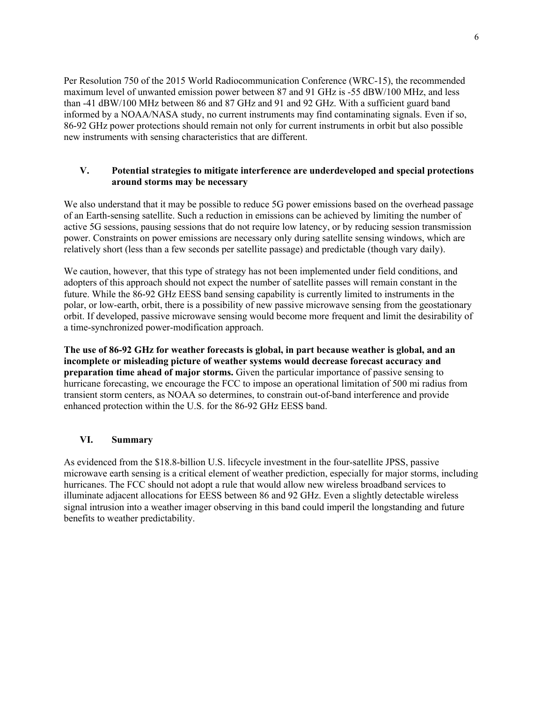Per Resolution 750 of the 2015 World Radiocommunication Conference (WRC-15), the recommended maximum level of unwanted emission power between 87 and 91 GHz is -55 dBW/100 MHz, and less than -41 dBW/100 MHz between 86 and 87 GHz and 91 and 92 GHz. With a sufficient guard band informed by a NOAA/NASA study, no current instruments may find contaminating signals. Even if so, 86-92 GHz power protections should remain not only for current instruments in orbit but also possible new instruments with sensing characteristics that are different.

#### **V. Potential strategies to mitigate interference are underdeveloped and special protections around storms may be necessary**

We also understand that it may be possible to reduce 5G power emissions based on the overhead passage of an Earth-sensing satellite. Such a reduction in emissions can be achieved by limiting the number of active 5G sessions, pausing sessions that do not require low latency, or by reducing session transmission power. Constraints on power emissions are necessary only during satellite sensing windows, which are relatively short (less than a few seconds per satellite passage) and predictable (though vary daily).

We caution, however, that this type of strategy has not been implemented under field conditions, and adopters of this approach should not expect the number of satellite passes will remain constant in the future. While the 86-92 GHz EESS band sensing capability is currently limited to instruments in the polar, or low-earth, orbit, there is a possibility of new passive microwave sensing from the geostationary orbit. If developed, passive microwave sensing would become more frequent and limit the desirability of a time-synchronized power-modification approach.

**The use of 86-92 GHz for weather forecasts is global, in part because weather is global, and an incomplete or misleading picture of weather systems would decrease forecast accuracy and preparation time ahead of major storms.** Given the particular importance of passive sensing to hurricane forecasting, we encourage the FCC to impose an operational limitation of 500 mi radius from transient storm centers, as NOAA so determines, to constrain out-of-band interference and provide enhanced protection within the U.S. for the 86-92 GHz EESS band.

### **VI. Summary**

As evidenced from the \$18.8-billion U.S. lifecycle investment in the four-satellite JPSS, passive microwave earth sensing is a critical element of weather prediction, especially for major storms, including hurricanes. The FCC should not adopt a rule that would allow new wireless broadband services to illuminate adjacent allocations for EESS between 86 and 92 GHz. Even a slightly detectable wireless signal intrusion into a weather imager observing in this band could imperil the longstanding and future benefits to weather predictability.